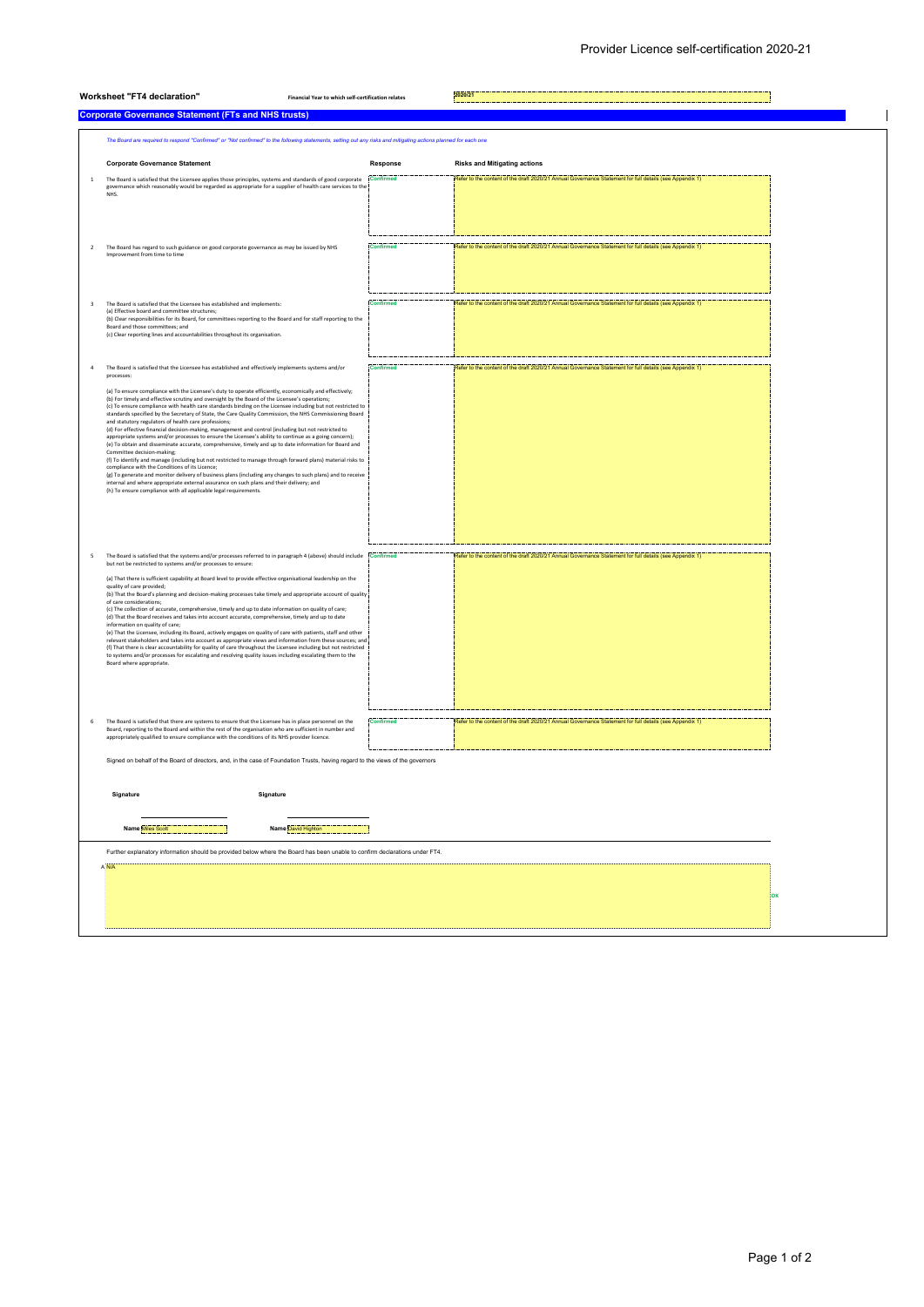| Worksheet "FT4 declaration"<br>Financial Year to which self-certification relates                                              |                                                                                                                                                                                                                                                                                                                                                | 2020/21          |                                                                                                         |           |  |  |  |  |
|--------------------------------------------------------------------------------------------------------------------------------|------------------------------------------------------------------------------------------------------------------------------------------------------------------------------------------------------------------------------------------------------------------------------------------------------------------------------------------------|------------------|---------------------------------------------------------------------------------------------------------|-----------|--|--|--|--|
|                                                                                                                                | <b>Corporate Governance Statement (FTs and NHS trusts)</b>                                                                                                                                                                                                                                                                                     |                  |                                                                                                         |           |  |  |  |  |
|                                                                                                                                | The Board are required to respond "Confirmed" or "Not confirmed" to the following statements, setting out any risks and mitigating actions planned for each one                                                                                                                                                                                |                  |                                                                                                         |           |  |  |  |  |
|                                                                                                                                | <b>Corporate Governance Statement</b>                                                                                                                                                                                                                                                                                                          | Response         | <b>Risks and Mitigating actions</b>                                                                     |           |  |  |  |  |
| $\,$ 1                                                                                                                         | The Board is satisfied that the Licensee applies those principles, systems and standards of good corporate<br>governance which reasonably would be regarded as appropriate for a supplier of health care services to the<br>NHS.                                                                                                               | <b>Confirmed</b> | Refer to the content of the draft 2020/21 Annual Governance Statement for full details (see Appendix 1) |           |  |  |  |  |
|                                                                                                                                |                                                                                                                                                                                                                                                                                                                                                |                  |                                                                                                         |           |  |  |  |  |
|                                                                                                                                |                                                                                                                                                                                                                                                                                                                                                |                  |                                                                                                         |           |  |  |  |  |
| $\overline{2}$                                                                                                                 | The Board has regard to such guidance on good corporate governance as may be issued by NHS<br>Improvement from time to time                                                                                                                                                                                                                    | Confirmed        | Refer to the content of the draft 2020/21 Annual Governance Statement for full details (see Appendix 1) |           |  |  |  |  |
|                                                                                                                                |                                                                                                                                                                                                                                                                                                                                                |                  |                                                                                                         |           |  |  |  |  |
| $\overline{\mathbf{3}}$                                                                                                        | The Board is satisfied that the Licensee has established and implements:                                                                                                                                                                                                                                                                       | <b>Confirmed</b> | Refer to the content of the draft 2020/21 Annual Governance Statement for full details (see Appendix 1) |           |  |  |  |  |
|                                                                                                                                | (a) Effective board and committee structures:<br>(b) Clear responsibilities for its Board, for committees reporting to the Board and for staff reporting to the<br>Board and those committees; and                                                                                                                                             |                  |                                                                                                         |           |  |  |  |  |
|                                                                                                                                | (c) Clear reporting lines and accountabilities throughout its organisation.                                                                                                                                                                                                                                                                    |                  |                                                                                                         |           |  |  |  |  |
| $\overline{4}$                                                                                                                 | The Board is satisfied that the Licensee has established and effectively implements systems and/or<br>processes:                                                                                                                                                                                                                               | Confirmed        | Refer to the content of the draft 2020/21 Annual Governance Statement for full details (see Appendix 1) |           |  |  |  |  |
|                                                                                                                                | (a) To ensure compliance with the Licensee's duty to operate efficiently, economically and effectively;<br>(b) For timely and effective scrutiny and oversight by the Board of the Licensee's operations;                                                                                                                                      |                  |                                                                                                         |           |  |  |  |  |
|                                                                                                                                | (c) To ensure compliance with health care standards binding on the Licensee including but not restricted to<br>standards specified by the Secretary of State, the Care Quality Commission, the NHS Commissioning Board<br>and statutory regulators of health care professions;                                                                 |                  |                                                                                                         |           |  |  |  |  |
|                                                                                                                                | (d) For effective financial decision-making, management and control (including but not restricted to<br>appropriate systems and/or processes to ensure the Licensee's ability to continue as a going concern);<br>(e) To obtain and disseminate accurate, comprehensive, timely and up to date information for Board and                       |                  |                                                                                                         |           |  |  |  |  |
|                                                                                                                                | Committee decision-making;<br>(f) To identify and manage (including but not restricted to manage through forward plans) material risks to<br>compliance with the Conditions of its Licence;                                                                                                                                                    |                  |                                                                                                         |           |  |  |  |  |
|                                                                                                                                | (g) To generate and monitor delivery of business plans (including any changes to such plans) and to receive<br>internal and where appropriate external assurance on such plans and their delivery; and<br>(h) To ensure compliance with all applicable legal requirements.                                                                     |                  |                                                                                                         |           |  |  |  |  |
|                                                                                                                                |                                                                                                                                                                                                                                                                                                                                                |                  |                                                                                                         |           |  |  |  |  |
|                                                                                                                                |                                                                                                                                                                                                                                                                                                                                                |                  |                                                                                                         |           |  |  |  |  |
| 5                                                                                                                              | The Board is satisfied that the systems and/or processes referred to in paragraph 4 (above) should include Confirmed                                                                                                                                                                                                                           |                  | Refer to the content of the draft 2020/21 Annual Governance Statement for full details (see Appendix 1) |           |  |  |  |  |
|                                                                                                                                | but not be restricted to systems and/or processes to ensure:<br>(a) That there is sufficient capability at Board level to provide effective organisational leadership on the                                                                                                                                                                   |                  |                                                                                                         |           |  |  |  |  |
|                                                                                                                                | quality of care provided;<br>(b) That the Board's planning and decision-making processes take timely and appropriate account of quality<br>of care considerations;                                                                                                                                                                             |                  |                                                                                                         |           |  |  |  |  |
|                                                                                                                                | (c) The collection of accurate, comprehensive, timely and up to date information on quality of care;<br>(d) That the Board receives and takes into account accurate, comprehensive, timely and up to date<br>information on quality of care;                                                                                                   |                  |                                                                                                         |           |  |  |  |  |
|                                                                                                                                | (e) That the Licensee, including its Board, actively engages on quality of care with patients, staff and other<br>relevant stakeholders and takes into account as appropriate views and information from these sources; and<br>(f) That there is clear accountability for quality of care throughout the Licensee including but not restricted |                  |                                                                                                         |           |  |  |  |  |
|                                                                                                                                | to systems and/or processes for escalating and resolving quality issues including escalating them to the<br>Board where appropriate.                                                                                                                                                                                                           |                  |                                                                                                         |           |  |  |  |  |
|                                                                                                                                |                                                                                                                                                                                                                                                                                                                                                |                  |                                                                                                         |           |  |  |  |  |
| 6                                                                                                                              | The Board is satisfied that there are systems to ensure that the Licensee has in place personnel on the                                                                                                                                                                                                                                        | <b>Confirmed</b> | Refer to the content of the draft 2020/21 Annual Governance Statement for full details (see Appendix 1) |           |  |  |  |  |
|                                                                                                                                | Board, reporting to the Board and within the rest of the organisation who are sufficient in number and<br>appropriately qualified to ensure compliance with the conditions of its NHS provider licence.                                                                                                                                        |                  |                                                                                                         |           |  |  |  |  |
| Signed on behalf of the Board of directors, and, in the case of Foundation Trusts, having regard to the views of the governors |                                                                                                                                                                                                                                                                                                                                                |                  |                                                                                                         |           |  |  |  |  |
|                                                                                                                                |                                                                                                                                                                                                                                                                                                                                                |                  |                                                                                                         |           |  |  |  |  |
| Signature<br>Signature                                                                                                         |                                                                                                                                                                                                                                                                                                                                                |                  |                                                                                                         |           |  |  |  |  |
| Name Miles Sco<br>Name David Highton                                                                                           |                                                                                                                                                                                                                                                                                                                                                |                  |                                                                                                         |           |  |  |  |  |
| Further explanatory information should be provided below where the Board has been unable to confirm declarations under FT4.    |                                                                                                                                                                                                                                                                                                                                                |                  |                                                                                                         |           |  |  |  |  |
|                                                                                                                                |                                                                                                                                                                                                                                                                                                                                                |                  |                                                                                                         |           |  |  |  |  |
|                                                                                                                                |                                                                                                                                                                                                                                                                                                                                                |                  |                                                                                                         | <b>OK</b> |  |  |  |  |
|                                                                                                                                |                                                                                                                                                                                                                                                                                                                                                |                  |                                                                                                         |           |  |  |  |  |